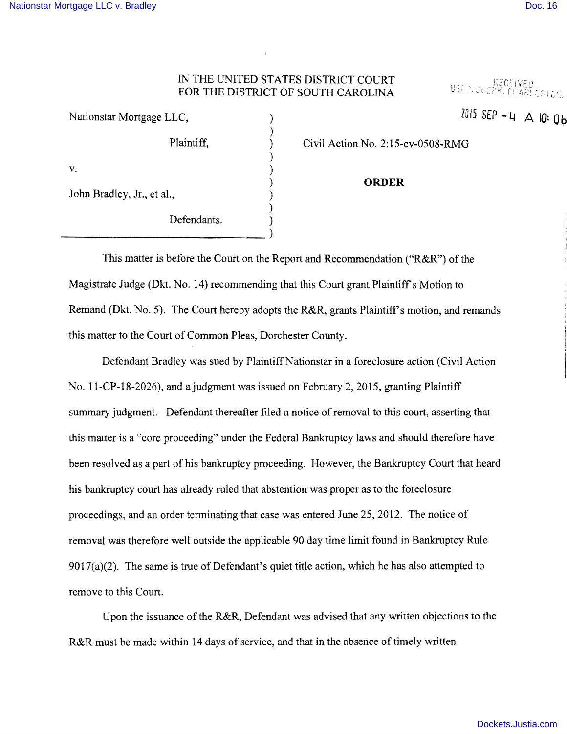Nationstar Mortgage LLC, ) ZOl5 SfP **-4** A 10: **Ob** 

USOD, CLERK, CHARLESTON,

## IN THE UNITED STATES DISTRICT COURT FOR THE DISTRICT OF SOUTH CAROLINA

| Nationstar Mortgage LLC,   |             |  |
|----------------------------|-------------|--|
|                            | Plaintiff,  |  |
| V.                         |             |  |
| John Bradley, Jr., et al., |             |  |
|                            | Defendants. |  |
|                            |             |  |

Civil Action No. 2:15-cv-0508-RMG

## ) **ORDER**

This matter is before the Court on the Report and Recommendation ("R&R") of the Magistrate Judge (Dkt. No. 14) recommending that this Court grant Plaintiffs Motion to Remand (Dkt. No. 5). The Court hereby adopts the R&R, grants Plaintiff's motion, and remands this matter to the Court of Common Pleas, Dorchester County.

Defendant Bradley was sued by Plaintiff Nationstar in a foreclosure action (Civil Action No. l1-CP-18-2026), and a judgment was issued on February 2,2015, granting Plaintiff summary judgment. Defendant thereafter filed a notice of removal to this court, asserting that this matter is a "core proceeding" under the Federal Bankruptcy laws and should therefore have been resolved as a part of his bankruptcy proceeding. However, the Bankruptcy Court that heard his bankruptcy court has already ruled that abstention was proper as to the foreclosure proceedings, and an order terminating that case was entered June 25,2012. The notice of removal was therefore well outside the applicable 90 day time limit found in Bankruptcy Rule 9017(a)(2). The same is true of Defendant's quiet title action, which he has also attempted to remove to this Court.

Upon the issuance of the R&R, Defendant was advised that any written objections to the R&R must be made within 14 days of service, and that in the absence of timely written